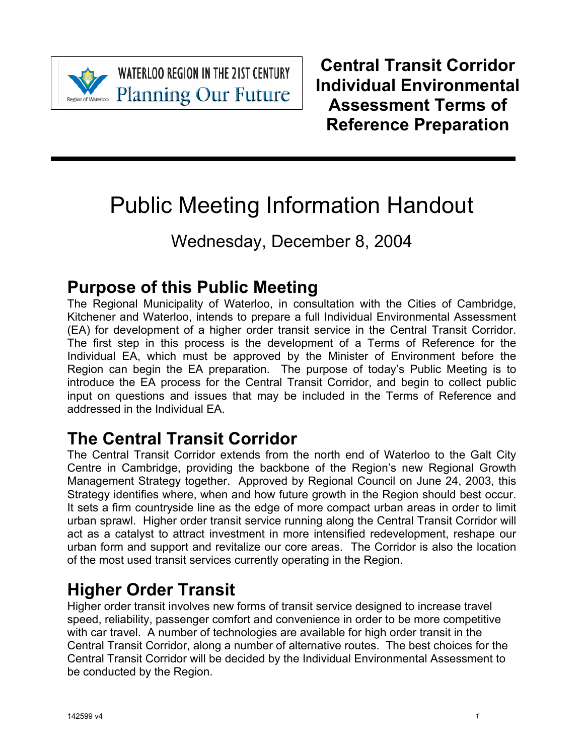

**WATERLOO REGION IN THE 21ST CENTURY Planning Our Future** 

**Central Transit Corridor Individual Environmental Assessment Terms of Reference Preparation**

# Public Meeting Information Handout

# Wednesday, December 8, 2004

## **Purpose of this Public Meeting**

The Regional Municipality of Waterloo, in consultation with the Cities of Cambridge, Kitchener and Waterloo, intends to prepare a full Individual Environmental Assessment (EA) for development of a higher order transit service in the Central Transit Corridor. The first step in this process is the development of a Terms of Reference for the Individual EA, which must be approved by the Minister of Environment before the Region can begin the EA preparation. The purpose of today's Public Meeting is to introduce the EA process for the Central Transit Corridor, and begin to collect public input on questions and issues that may be included in the Terms of Reference and addressed in the Individual EA.

# **The Central Transit Corridor**

The Central Transit Corridor extends from the north end of Waterloo to the Galt City Centre in Cambridge, providing the backbone of the Region's new Regional Growth Management Strategy together. Approved by Regional Council on June 24, 2003, this Strategy identifies where, when and how future growth in the Region should best occur. It sets a firm countryside line as the edge of more compact urban areas in order to limit urban sprawl. Higher order transit service running along the Central Transit Corridor will act as a catalyst to attract investment in more intensified redevelopment, reshape our urban form and support and revitalize our core areas. The Corridor is also the location of the most used transit services currently operating in the Region.

## **Higher Order Transit**

Higher order transit involves new forms of transit service designed to increase travel speed, reliability, passenger comfort and convenience in order to be more competitive with car travel. A number of technologies are available for high order transit in the Central Transit Corridor, along a number of alternative routes. The best choices for the Central Transit Corridor will be decided by the Individual Environmental Assessment to be conducted by the Region.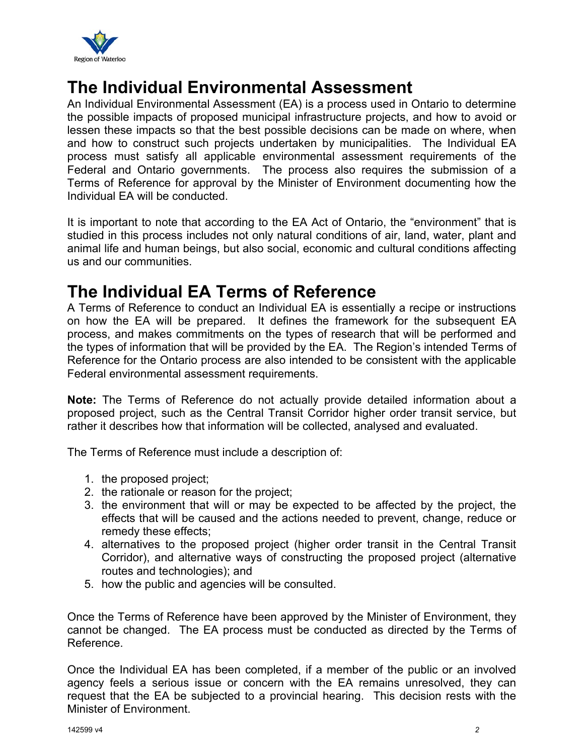

### **The Individual Environmental Assessment**

An Individual Environmental Assessment (EA) is a process used in Ontario to determine the possible impacts of proposed municipal infrastructure projects, and how to avoid or lessen these impacts so that the best possible decisions can be made on where, when and how to construct such projects undertaken by municipalities. The Individual EA process must satisfy all applicable environmental assessment requirements of the Federal and Ontario governments. The process also requires the submission of a Terms of Reference for approval by the Minister of Environment documenting how the Individual EA will be conducted.

It is important to note that according to the EA Act of Ontario, the "environment" that is studied in this process includes not only natural conditions of air, land, water, plant and animal life and human beings, but also social, economic and cultural conditions affecting us and our communities.

#### **The Individual EA Terms of Reference**

A Terms of Reference to conduct an Individual EA is essentially a recipe or instructions on how the EA will be prepared. It defines the framework for the subsequent EA process, and makes commitments on the types of research that will be performed and the types of information that will be provided by the EA. The Region's intended Terms of Reference for the Ontario process are also intended to be consistent with the applicable Federal environmental assessment requirements.

**Note:** The Terms of Reference do not actually provide detailed information about a proposed project, such as the Central Transit Corridor higher order transit service, but rather it describes how that information will be collected, analysed and evaluated.

The Terms of Reference must include a description of:

- 1. the proposed project;
- 2. the rationale or reason for the project;
- 3. the environment that will or may be expected to be affected by the project, the effects that will be caused and the actions needed to prevent, change, reduce or remedy these effects;
- 4. alternatives to the proposed project (higher order transit in the Central Transit Corridor), and alternative ways of constructing the proposed project (alternative routes and technologies); and
- 5. how the public and agencies will be consulted.

Once the Terms of Reference have been approved by the Minister of Environment, they cannot be changed. The EA process must be conducted as directed by the Terms of Reference.

Once the Individual EA has been completed, if a member of the public or an involved agency feels a serious issue or concern with the EA remains unresolved, they can request that the EA be subjected to a provincial hearing. This decision rests with the Minister of Environment.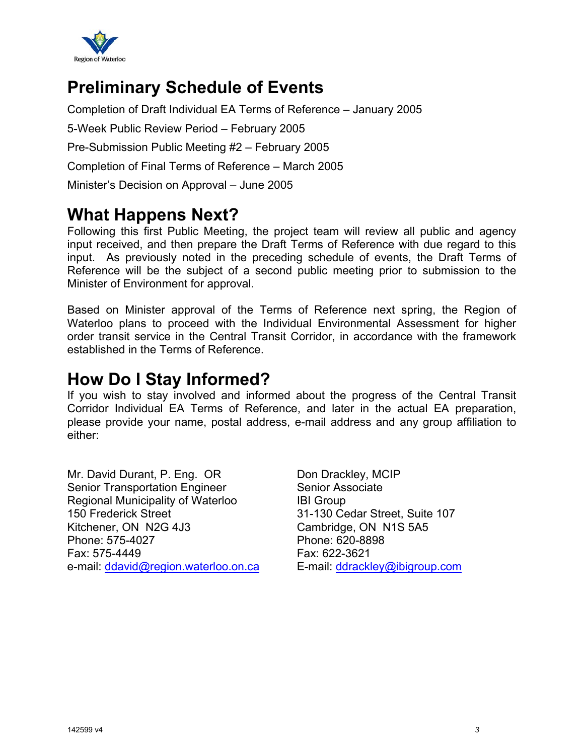

### **Preliminary Schedule of Events**

Completion of Draft Individual EA Terms of Reference – January 2005

5-Week Public Review Period – February 2005

Pre-Submission Public Meeting #2 – February 2005

Completion of Final Terms of Reference – March 2005

Minister's Decision on Approval – June 2005

#### **What Happens Next?**

Following this first Public Meeting, the project team will review all public and agency input received, and then prepare the Draft Terms of Reference with due regard to this input. As previously noted in the preceding schedule of events, the Draft Terms of Reference will be the subject of a second public meeting prior to submission to the Minister of Environment for approval.

Based on Minister approval of the Terms of Reference next spring, the Region of Waterloo plans to proceed with the Individual Environmental Assessment for higher order transit service in the Central Transit Corridor, in accordance with the framework established in the Terms of Reference.

#### **How Do I Stay Informed?**

If you wish to stay involved and informed about the progress of the Central Transit Corridor Individual EA Terms of Reference, and later in the actual EA preparation, please provide your name, postal address, e-mail address and any group affiliation to either:

Mr. David Durant, P. Eng. OR Senior Transportation Engineer Regional Municipality of Waterloo 150 Frederick Street Kitchener, ON N2G 4J3 Phone: 575-4027 Fax: 575-4449 e-mail: ddavid@region.waterloo.on.ca Don Drackley, MCIP Senior Associate IBI Group 31-130 Cedar Street, Suite 107 Cambridge, ON N1S 5A5 Phone: 620-8898 Fax: 622-3621 E-mail: ddrackley@ibigroup.com